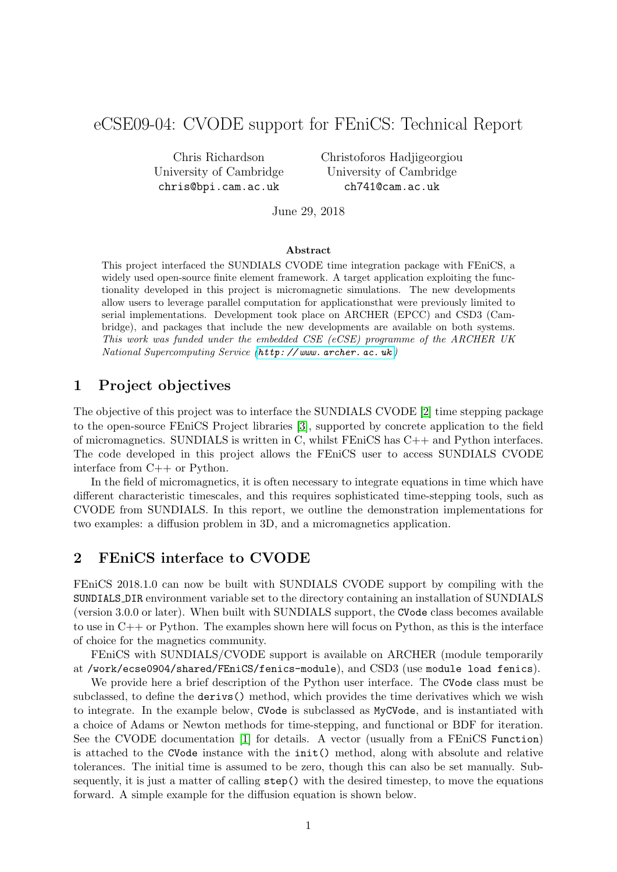## eCSE09-04: CVODE support for FEniCS: Technical Report

Chris Richardson University of Cambridge chris@bpi.cam.ac.uk

Christoforos Hadjigeorgiou University of Cambridge ch741@cam.ac.uk

June 29, 2018

#### Abstract

This project interfaced the SUNDIALS CVODE time integration package with FEniCS, a widely used open-source finite element framework. A target application exploiting the functionality developed in this project is micromagnetic simulations. The new developments allow users to leverage parallel computation for applicationsthat were previously limited to serial implementations. Development took place on ARCHER (EPCC) and CSD3 (Cambridge), and packages that include the new developments are available on both systems. This work was funded under the embedded CSE (eCSE) programme of the ARCHER UK National Supercomputing Service ([http: // www. archer. ac. uk](http://www.archer.ac.uk) )

### 1 Project objectives

The objective of this project was to interface the SUNDIALS CVODE [\[2\]](#page-6-0) time stepping package to the open-source FEniCS Project libraries [\[3\]](#page-6-1), supported by concrete application to the field of micromagnetics. SUNDIALS is written in C, whilst FEniCS has C++ and Python interfaces. The code developed in this project allows the FEniCS user to access SUNDIALS CVODE interface from C++ or Python.

In the field of micromagnetics, it is often necessary to integrate equations in time which have different characteristic timescales, and this requires sophisticated time-stepping tools, such as CVODE from SUNDIALS. In this report, we outline the demonstration implementations for two examples: a diffusion problem in 3D, and a micromagnetics application.

### 2 FEniCS interface to CVODE

FEniCS 2018.1.0 can now be built with SUNDIALS CVODE support by compiling with the SUNDIALS DIR environment variable set to the directory containing an installation of SUNDIALS (version 3.0.0 or later). When built with SUNDIALS support, the CVode class becomes available to use in C++ or Python. The examples shown here will focus on Python, as this is the interface of choice for the magnetics community.

FEniCS with SUNDIALS/CVODE support is available on ARCHER (module temporarily at /work/ecse0904/shared/FEniCS/fenics-module), and CSD3 (use module load fenics).

We provide here a brief description of the Python user interface. The CVode class must be subclassed, to define the derivs() method, which provides the time derivatives which we wish to integrate. In the example below, CVode is subclassed as MyCVode, and is instantiated with a choice of Adams or Newton methods for time-stepping, and functional or BDF for iteration. See the CVODE documentation [\[1\]](#page-6-2) for details. A vector (usually from a FEniCS Function) is attached to the CVode instance with the init() method, along with absolute and relative tolerances. The initial time is assumed to be zero, though this can also be set manually. Subsequently, it is just a matter of calling step() with the desired timestep, to move the equations forward. A simple example for the diffusion equation is shown below.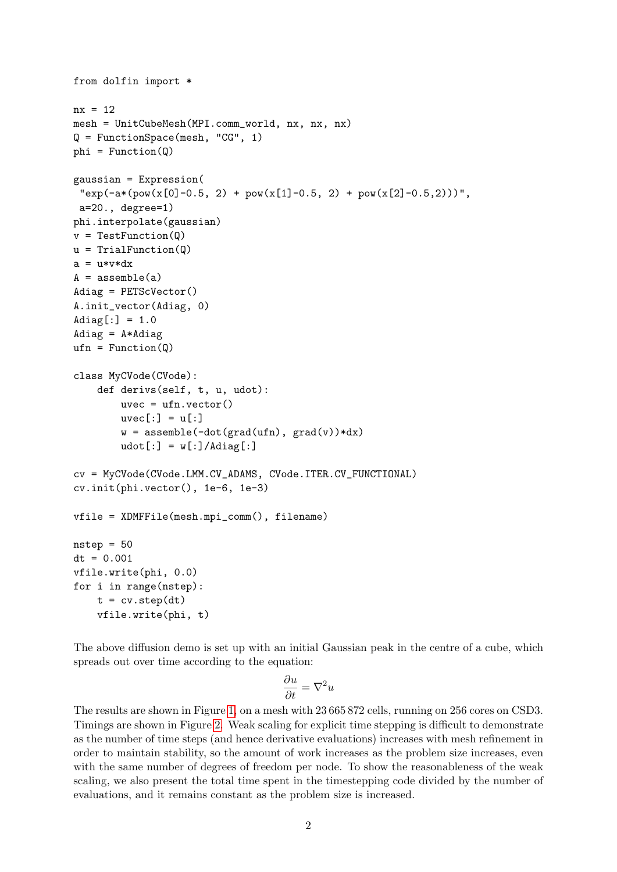```
from dolfin import *
nx = 12mesh = UnitCubeMesh(MPI.comm_world, nx, nx, nx)
Q = FunctionSpace(mesh, "CG", 1)
phi = Function(Q)gaussian = Expression(
 "exp(-a*(pow(x[0]-0.5, 2) + pow(x[1]-0.5, 2) + pow(x[2]-0.5, 2)))",a=20., degree=1)
phi.interpolate(gaussian)
v = TestFunction(Q)u = TrialFunction(Q)a = u * v * dxA =assemble(a)
Adiag = PETScVector()
A.init_vector(Adiag, 0)
Adiag[:] = 1.0Adiag = A * Adiag
ufn = Function(Q)class MyCVode(CVode):
    def derivs(self, t, u, udot):
        uvec = ufn.vector()
        uvec[:] = u[:]w = assemble(-dot(grad(ufn), grad(v))*dx)
        udot[:] = w[:] / \text{Adiag}[:]cv = MyCVode(CVode.LMM.CV_ADAMS, CVode.ITER.CV_FUNCTIONAL)
cv.init(phi.vector(), 1e-6, 1e-3)
vfile = XDMFFile(mesh.mpi_comm(), filename)
nstep = 50dt = 0.001vfile.write(phi, 0.0)
for i in range(nstep):
    t = cv.setp(dt)vfile.write(phi, t)
```
The above diffusion demo is set up with an initial Gaussian peak in the centre of a cube, which spreads out over time according to the equation:

$$
\frac{\partial u}{\partial t} = \nabla^2 u
$$

The results are shown in Figure [1,](#page-2-0) on a mesh with 23 665 872 cells, running on 256 cores on CSD3. Timings are shown in Figure [2.](#page-2-1) Weak scaling for explicit time stepping is difficult to demonstrate as the number of time steps (and hence derivative evaluations) increases with mesh refinement in order to maintain stability, so the amount of work increases as the problem size increases, even with the same number of degrees of freedom per node. To show the reasonableness of the weak scaling, we also present the total time spent in the timestepping code divided by the number of evaluations, and it remains constant as the problem size is increased.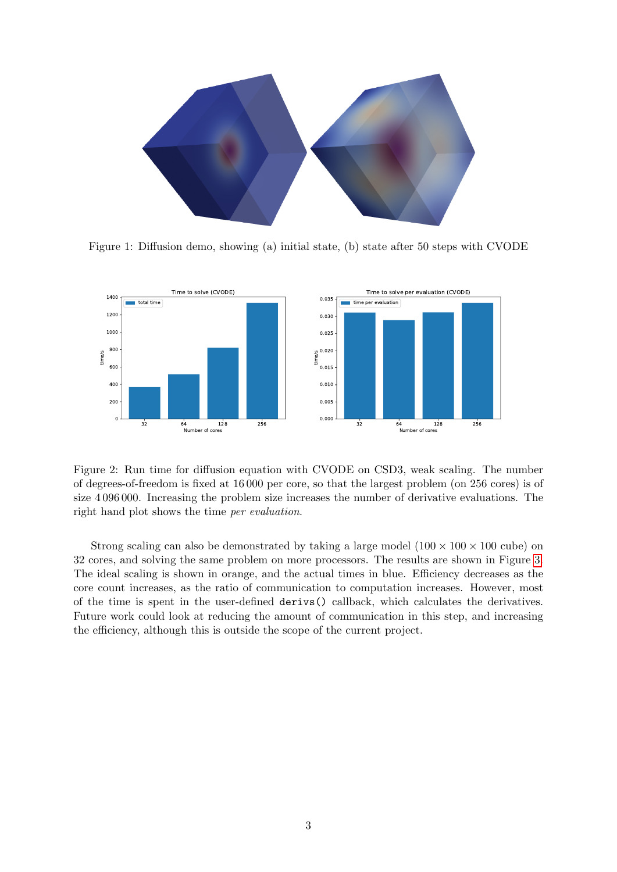

<span id="page-2-0"></span>Figure 1: Diffusion demo, showing (a) initial state, (b) state after 50 steps with CVODE



<span id="page-2-1"></span>Figure 2: Run time for diffusion equation with CVODE on CSD3, weak scaling. The number of degrees-of-freedom is fixed at 16 000 per core, so that the largest problem (on 256 cores) is of size 4 096 000. Increasing the problem size increases the number of derivative evaluations. The right hand plot shows the time per evaluation.

Strong scaling can also be demonstrated by taking a large model  $(100 \times 100 \times 100$  cube) on 32 cores, and solving the same problem on more processors. The results are shown in Figure [3.](#page-3-0) The ideal scaling is shown in orange, and the actual times in blue. Efficiency decreases as the core count increases, as the ratio of communication to computation increases. However, most of the time is spent in the user-defined derivs() callback, which calculates the derivatives. Future work could look at reducing the amount of communication in this step, and increasing the efficiency, although this is outside the scope of the current project.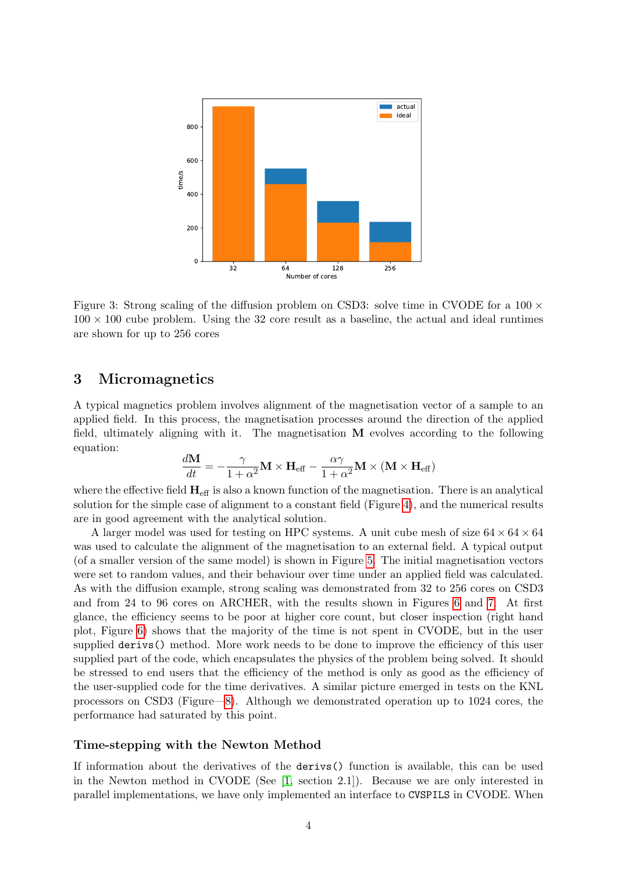

<span id="page-3-0"></span>Figure 3: Strong scaling of the diffusion problem on CSD3: solve time in CVODE for a  $100 \times$  $100 \times 100$  cube problem. Using the 32 core result as a baseline, the actual and ideal runtimes are shown for up to 256 cores

### 3 Micromagnetics

A typical magnetics problem involves alignment of the magnetisation vector of a sample to an applied field. In this process, the magnetisation processes around the direction of the applied field, ultimately aligning with it. The magnetisation M evolves according to the following equation:

$$
\frac{d\mathbf{M}}{dt} = -\frac{\gamma}{1+\alpha^2} \mathbf{M} \times \mathbf{H}_{\text{eff}} - \frac{\alpha \gamma}{1+\alpha^2} \mathbf{M} \times (\mathbf{M} \times \mathbf{H}_{\text{eff}})
$$

where the effective field  $H_{\text{eff}}$  is also a known function of the magnetisation. There is an analytical solution for the simple case of alignment to a constant field (Figure [4\)](#page-4-0), and the numerical results are in good agreement with the analytical solution.

A larger model was used for testing on HPC systems. A unit cube mesh of size  $64 \times 64 \times 64$ was used to calculate the alignment of the magnetisation to an external field. A typical output (of a smaller version of the same model) is shown in Figure [5.](#page-4-1) The initial magnetisation vectors were set to random values, and their behaviour over time under an applied field was calculated. As with the diffusion example, strong scaling was demonstrated from 32 to 256 cores on CSD3 and from 24 to 96 cores on ARCHER, with the results shown in Figures [6](#page-4-2) and [7.](#page-5-0) At first glance, the efficiency seems to be poor at higher core count, but closer inspection (right hand plot, Figure [6\)](#page-4-2) shows that the majority of the time is not spent in CVODE, but in the user supplied derivs() method. More work needs to be done to improve the efficiency of this user supplied part of the code, which encapsulates the physics of the problem being solved. It should be stressed to end users that the efficiency of the method is only as good as the efficiency of the user-supplied code for the time derivatives. A similar picture emerged in tests on the KNL processors on CSD3 (Figure[—8\)](#page-5-1). Although we demonstrated operation up to 1024 cores, the performance had saturated by this point.

#### Time-stepping with the Newton Method

If information about the derivatives of the derivs() function is available, this can be used in the Newton method in CVODE (See [\[1,](#page-6-2) section 2.1]). Because we are only interested in parallel implementations, we have only implemented an interface to CVSPILS in CVODE. When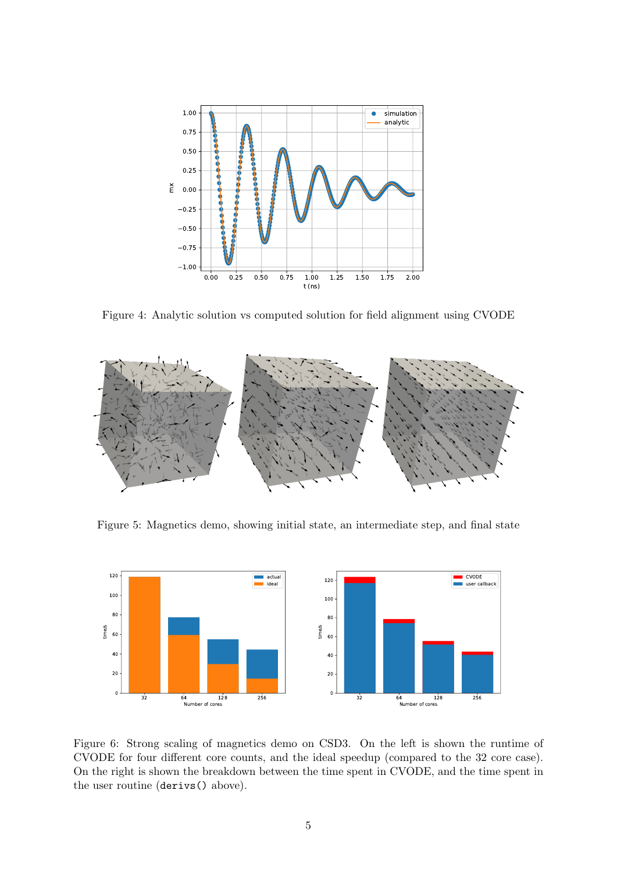

<span id="page-4-0"></span>Figure 4: Analytic solution vs computed solution for field alignment using CVODE



<span id="page-4-1"></span>Figure 5: Magnetics demo, showing initial state, an intermediate step, and final state



<span id="page-4-2"></span>Figure 6: Strong scaling of magnetics demo on CSD3. On the left is shown the runtime of CVODE for four different core counts, and the ideal speedup (compared to the 32 core case). On the right is shown the breakdown between the time spent in CVODE, and the time spent in the user routine (derivs() above).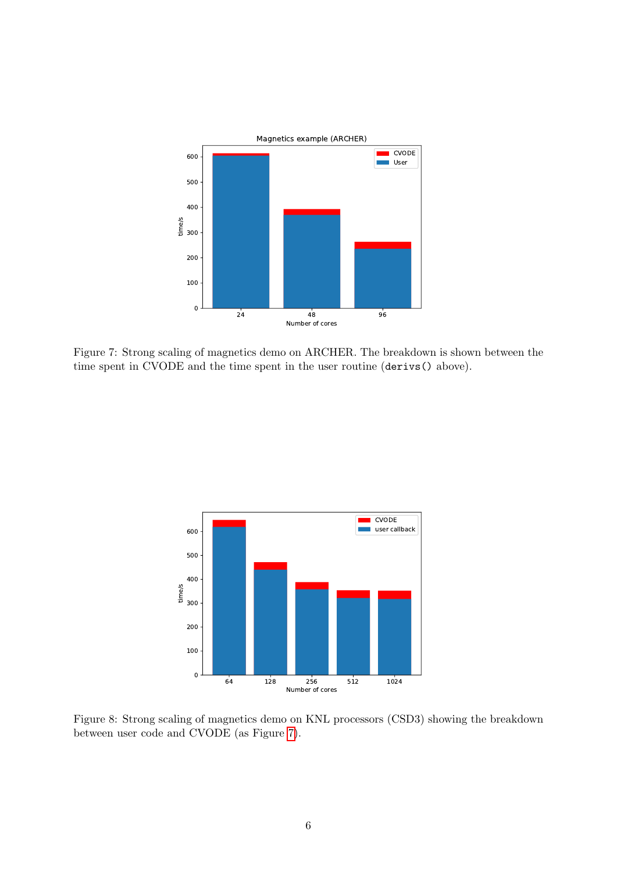

<span id="page-5-0"></span>Figure 7: Strong scaling of magnetics demo on ARCHER. The breakdown is shown between the time spent in CVODE and the time spent in the user routine (derivs() above).



<span id="page-5-1"></span>Figure 8: Strong scaling of magnetics demo on KNL processors (CSD3) showing the breakdown between user code and CVODE (as Figure [7\)](#page-5-0).